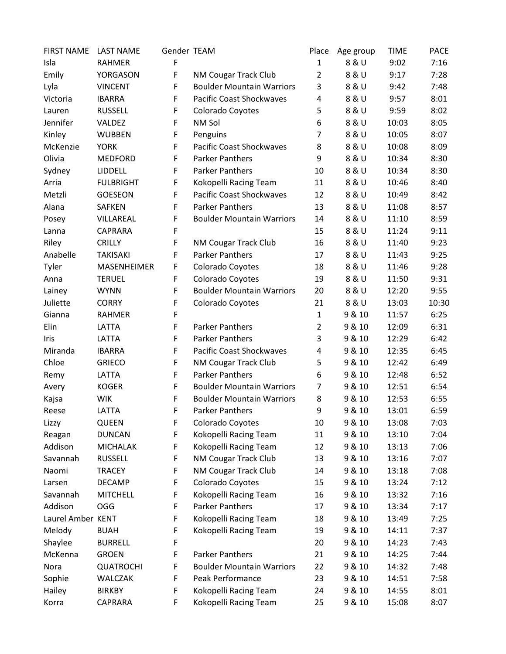| <b>FIRST NAME</b> | <b>LAST NAME</b> | Gender TEAM |                                  | Place          | Age group | <b>TIME</b> | <b>PACE</b> |
|-------------------|------------------|-------------|----------------------------------|----------------|-----------|-------------|-------------|
| Isla              | <b>RAHMER</b>    | F           |                                  | $\mathbf{1}$   | 8 & U     | 9:02        | 7:16        |
| Emily             | YORGASON         | F           | NM Cougar Track Club             | $\overline{2}$ | 8 & U     | 9:17        | 7:28        |
| Lyla              | <b>VINCENT</b>   | F           | <b>Boulder Mountain Warriors</b> | 3              | 8 & U     | 9:42        | 7:48        |
| Victoria          | <b>IBARRA</b>    | F           | <b>Pacific Coast Shockwaves</b>  | 4              | 8 & U     | 9:57        | 8:01        |
| Lauren            | <b>RUSSELL</b>   | F           | Colorado Coyotes                 | 5              | 8 & U     | 9:59        | 8:02        |
| Jennifer          | VALDEZ           | F           | NM Sol                           | 6              | 8 & U     | 10:03       | 8:05        |
| Kinley            | <b>WUBBEN</b>    | F           | Penguins                         | 7              | 8 & U     | 10:05       | 8:07        |
| McKenzie          | <b>YORK</b>      | F           | <b>Pacific Coast Shockwaves</b>  | 8              | 8 & U     | 10:08       | 8:09        |
| Olivia            | <b>MEDFORD</b>   | F           | <b>Parker Panthers</b>           | 9              | 8 & U     | 10:34       | 8:30        |
| Sydney            | LIDDELL          | F           | <b>Parker Panthers</b>           | 10             | 8 & U     | 10:34       | 8:30        |
| Arria             | <b>FULBRIGHT</b> | F           | Kokopelli Racing Team            | 11             | 8 & U     | 10:46       | 8:40        |
| Metzli            | GOESEON          | F           | <b>Pacific Coast Shockwaves</b>  | 12             | 8 & U     | 10:49       | 8:42        |
| Alana             | <b>SAFKEN</b>    | F           | <b>Parker Panthers</b>           | 13             | 8 & U     | 11:08       | 8:57        |
| Posey             | VILLAREAL        | F           | <b>Boulder Mountain Warriors</b> | 14             | 8 & U     | 11:10       | 8:59        |
| Lanna             | CAPRARA          | F           |                                  | 15             | 8 & U     | 11:24       | 9:11        |
| Riley             | <b>CRILLY</b>    | F           | <b>NM Cougar Track Club</b>      | 16             | 8 & U     | 11:40       | 9:23        |
| Anabelle          | <b>TAKISAKI</b>  | F           | <b>Parker Panthers</b>           | 17             | 8 & U     | 11:43       | 9:25        |
| Tyler             | MASENHEIMER      | F           | Colorado Coyotes                 | 18             | 8 & U     | 11:46       | 9:28        |
| Anna              | <b>TERUEL</b>    | F           | Colorado Coyotes                 | 19             | 8 & U     | 11:50       | 9:31        |
| Lainey            | <b>WYNN</b>      | F           | <b>Boulder Mountain Warriors</b> | 20             | 8 & U     | 12:20       | 9:55        |
| Juliette          | <b>CORRY</b>     | F           | Colorado Coyotes                 | 21             | 8 & U     | 13:03       | 10:30       |
| Gianna            | <b>RAHMER</b>    | F           |                                  | $\mathbf{1}$   | 9 & 10    | 11:57       | 6:25        |
| Elin              | LATTA            | F           | <b>Parker Panthers</b>           | $\overline{2}$ | 9 & 10    | 12:09       | 6:31        |
| Iris              | LATTA            | F           | <b>Parker Panthers</b>           | 3              | 9 & 10    | 12:29       | 6:42        |
| Miranda           | <b>IBARRA</b>    | F           | <b>Pacific Coast Shockwaves</b>  | 4              | 9 & 10    | 12:35       | 6:45        |
| Chloe             | <b>GRIECO</b>    | F           | NM Cougar Track Club             | 5              | 9 & 10    | 12:42       | 6:49        |
| Remy              | LATTA            | F           | <b>Parker Panthers</b>           | 6              | 9 & 10    | 12:48       | 6:52        |
| Avery             | <b>KOGER</b>     | F           | <b>Boulder Mountain Warriors</b> | $\overline{7}$ | 9 & 10    | 12:51       | 6:54        |
| Kajsa             | <b>WIK</b>       | F           | <b>Boulder Mountain Warriors</b> | 8              | 9 & 10    | 12:53       | 6:55        |
| Reese             | LATTA            | F           | <b>Parker Panthers</b>           | 9              | 9 & 10    | 13:01       | 6:59        |
| Lizzy             | QUEEN            | F           | Colorado Coyotes                 | 10             | 9 & 10    | 13:08       | 7:03        |
| Reagan            | <b>DUNCAN</b>    | F           | Kokopelli Racing Team            | 11             | 9 & 10    | 13:10       | 7:04        |
| Addison           | <b>MICHALAK</b>  | F           | Kokopelli Racing Team            | 12             | 9 & 10    | 13:13       | 7:06        |
| Savannah          | <b>RUSSELL</b>   | F           | NM Cougar Track Club             | 13             | 9 & 10    | 13:16       | 7:07        |
| Naomi             | <b>TRACEY</b>    | F           | NM Cougar Track Club             | 14             | 9 & 10    | 13:18       | 7:08        |
| Larsen            | <b>DECAMP</b>    | F           | Colorado Coyotes                 | 15             | 9 & 10    | 13:24       | 7:12        |
| Savannah          | <b>MITCHELL</b>  | F           | Kokopelli Racing Team            | 16             | 9 & 10    | 13:32       | 7:16        |
| Addison           | OGG              | F           | <b>Parker Panthers</b>           | 17             | 9 & 10    | 13:34       | 7:17        |
| Laurel Amber KENT |                  | F           | Kokopelli Racing Team            | 18             | 9 & 10    | 13:49       | 7:25        |
| Melody            | <b>BUAH</b>      | F           | Kokopelli Racing Team            | 19             | 9 & 10    | 14:11       | 7:37        |
| Shaylee           | <b>BURRELL</b>   | F           |                                  | 20             | 9 & 10    | 14:23       | 7:43        |
| McKenna           | <b>GROEN</b>     | F           | <b>Parker Panthers</b>           | 21             | 9 & 10    | 14:25       | 7:44        |
| Nora              | <b>QUATROCHI</b> | F           | <b>Boulder Mountain Warriors</b> | 22             | 9 & 10    | 14:32       | 7:48        |
| Sophie            | WALCZAK          | F           | Peak Performance                 | 23             | 9 & 10    | 14:51       | 7:58        |
| Hailey            | <b>BIRKBY</b>    | F           | Kokopelli Racing Team            | 24             | 9 & 10    | 14:55       | 8:01        |
| Korra             | CAPRARA          | F           | Kokopelli Racing Team            | 25             | 9 & 10    | 15:08       | 8:07        |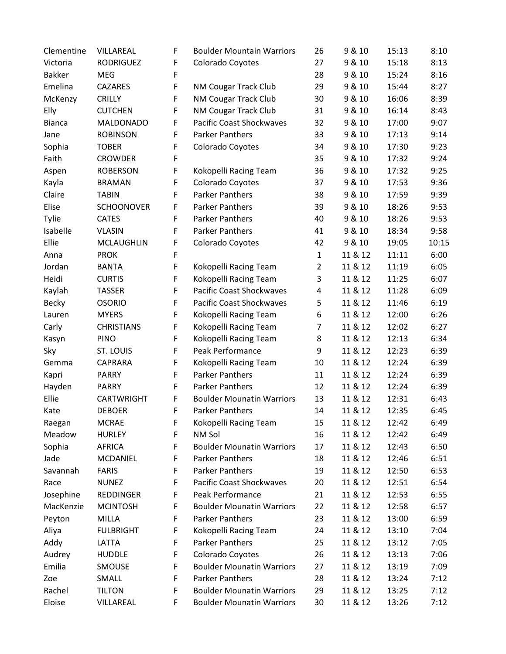| Clementine    | VILLAREAL         | F | <b>Boulder Mountain Warriors</b> | 26             | 9 & 10  | 15:13 | 8:10  |
|---------------|-------------------|---|----------------------------------|----------------|---------|-------|-------|
| Victoria      | <b>RODRIGUEZ</b>  | F | Colorado Coyotes                 | 27             | 9 & 10  | 15:18 | 8:13  |
| <b>Bakker</b> | <b>MEG</b>        | F |                                  | 28             | 9 & 10  | 15:24 | 8:16  |
| Emelina       | CAZARES           | F | NM Cougar Track Club             | 29             | 9 & 10  | 15:44 | 8:27  |
| McKenzy       | <b>CRILLY</b>     | F | <b>NM Cougar Track Club</b>      | 30             | 9 & 10  | 16:06 | 8:39  |
| Elly          | <b>CUTCHEN</b>    | F | NM Cougar Track Club             | 31             | 9 & 10  | 16:14 | 8:43  |
| <b>Bianca</b> | MALDONADO         | F | <b>Pacific Coast Shockwaves</b>  | 32             | 9 & 10  | 17:00 | 9:07  |
| Jane          | <b>ROBINSON</b>   | F | <b>Parker Panthers</b>           | 33             | 9 & 10  | 17:13 | 9:14  |
| Sophia        | <b>TOBER</b>      | F | Colorado Coyotes                 | 34             | 9 & 10  | 17:30 | 9:23  |
| Faith         | <b>CROWDER</b>    | F |                                  | 35             | 9 & 10  | 17:32 | 9:24  |
| Aspen         | <b>ROBERSON</b>   | F | Kokopelli Racing Team            | 36             | 9 & 10  | 17:32 | 9:25  |
| Kayla         | <b>BRAMAN</b>     | F | Colorado Coyotes                 | 37             | 9 & 10  | 17:53 | 9:36  |
| Claire        | <b>TABIN</b>      | F | <b>Parker Panthers</b>           | 38             | 9 & 10  | 17:59 | 9:39  |
| Elise         | <b>SCHOONOVER</b> | F | <b>Parker Panthers</b>           | 39             | 9 & 10  | 18:26 | 9:53  |
| Tylie         | <b>CATES</b>      | F | <b>Parker Panthers</b>           | 40             | 9 & 10  | 18:26 | 9:53  |
| Isabelle      | <b>VLASIN</b>     | F | <b>Parker Panthers</b>           | 41             | 9 & 10  | 18:34 | 9:58  |
| Ellie         | <b>MCLAUGHLIN</b> | F | Colorado Coyotes                 | 42             | 9 & 10  | 19:05 | 10:15 |
| Anna          | <b>PROK</b>       | F |                                  | $\mathbf{1}$   | 11 & 12 | 11:11 | 6:00  |
| Jordan        | <b>BANTA</b>      | F | Kokopelli Racing Team            | $\overline{2}$ | 11 & 12 | 11:19 | 6:05  |
| Heidi         | <b>CURTIS</b>     | F | Kokopelli Racing Team            | 3              | 11 & 12 | 11:25 | 6:07  |
| Kaylah        | <b>TASSER</b>     | F | <b>Pacific Coast Shockwaves</b>  | 4              | 11 & 12 | 11:28 | 6:09  |
| <b>Becky</b>  | <b>OSORIO</b>     | F | <b>Pacific Coast Shockwaves</b>  | 5              | 11 & 12 | 11:46 | 6:19  |
| Lauren        | <b>MYERS</b>      | F | Kokopelli Racing Team            | 6              | 11 & 12 | 12:00 | 6:26  |
| Carly         | <b>CHRISTIANS</b> | F | Kokopelli Racing Team            | 7              | 11 & 12 | 12:02 | 6:27  |
| Kasyn         | <b>PINO</b>       | F | Kokopelli Racing Team            | 8              | 11 & 12 | 12:13 | 6:34  |
| Sky           | ST. LOUIS         | F | Peak Performance                 | 9              | 11 & 12 | 12:23 | 6:39  |
| Gemma         | CAPRARA           | F | Kokopelli Racing Team            | 10             | 11 & 12 | 12:24 | 6:39  |
| Kapri         | <b>PARRY</b>      | F | <b>Parker Panthers</b>           | 11             | 11 & 12 | 12:24 | 6:39  |
| Hayden        | <b>PARRY</b>      | F | <b>Parker Panthers</b>           | 12             | 11 & 12 | 12:24 | 6:39  |
| Ellie         | CARTWRIGHT        | F | <b>Boulder Mounatin Warriors</b> | 13             | 11 & 12 | 12:31 | 6:43  |
| Kate          | <b>DEBOER</b>     | F | <b>Parker Panthers</b>           | 14             | 11 & 12 | 12:35 | 6:45  |
| Raegan        | <b>MCRAE</b>      | F | Kokopelli Racing Team            | 15             | 11 & 12 | 12:42 | 6:49  |
| Meadow        | <b>HURLEY</b>     | F | NM Sol                           | 16             | 11 & 12 | 12:42 | 6:49  |
| Sophia        | AFRICA            | F | <b>Boulder Mounatin Warriors</b> | 17             | 11 & 12 | 12:43 | 6:50  |
| Jade          | MCDANIEL          | F | Parker Panthers                  | 18             | 11 & 12 | 12:46 | 6:51  |
| Savannah      | <b>FARIS</b>      | F | Parker Panthers                  | 19             | 11 & 12 | 12:50 | 6:53  |
| Race          | <b>NUNEZ</b>      | F | <b>Pacific Coast Shockwaves</b>  | 20             | 11 & 12 | 12:51 | 6:54  |
| Josephine     | REDDINGER         | F | Peak Performance                 | 21             | 11 & 12 | 12:53 | 6:55  |
| MacKenzie     | <b>MCINTOSH</b>   | F | <b>Boulder Mounatin Warriors</b> | 22             | 11 & 12 | 12:58 | 6:57  |
| Peyton        | <b>MILLA</b>      | F | <b>Parker Panthers</b>           | 23             | 11 & 12 | 13:00 | 6:59  |
| Aliya         | <b>FULBRIGHT</b>  | F | Kokopelli Racing Team            | 24             | 11 & 12 | 13:10 | 7:04  |
| Addy          | LATTA             | F | <b>Parker Panthers</b>           | 25             | 11 & 12 | 13:12 | 7:05  |
| Audrey        | <b>HUDDLE</b>     | F | Colorado Coyotes                 | 26             | 11 & 12 | 13:13 | 7:06  |
| Emilia        | SMOUSE            | F | <b>Boulder Mounatin Warriors</b> | 27             | 11 & 12 | 13:19 | 7:09  |
| Zoe           | SMALL             | F | <b>Parker Panthers</b>           | 28             | 11 & 12 | 13:24 | 7:12  |
| Rachel        | <b>TILTON</b>     | F | <b>Boulder Mounatin Warriors</b> | 29             | 11 & 12 | 13:25 | 7:12  |
| Eloise        | VILLAREAL         | F | <b>Boulder Mounatin Warriors</b> | 30             | 11 & 12 | 13:26 | 7:12  |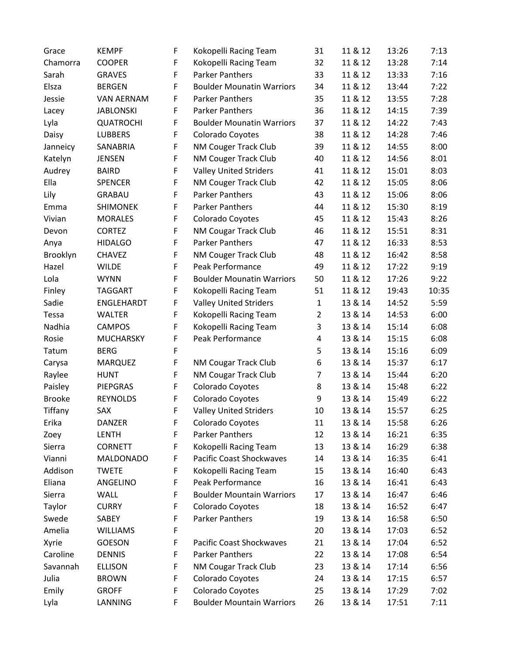| Grace         | <b>KEMPF</b>      | F | Kokopelli Racing Team            | 31             | 11 & 12 | 13:26 | 7:13  |
|---------------|-------------------|---|----------------------------------|----------------|---------|-------|-------|
| Chamorra      | <b>COOPER</b>     | F | Kokopelli Racing Team            | 32             | 11 & 12 | 13:28 | 7:14  |
| Sarah         | <b>GRAVES</b>     | F | <b>Parker Panthers</b>           | 33             | 11 & 12 | 13:33 | 7:16  |
| Elsza         | <b>BERGEN</b>     | F | <b>Boulder Mounatin Warriors</b> | 34             | 11 & 12 | 13:44 | 7:22  |
| Jessie        | <b>VAN AERNAM</b> | F | <b>Parker Panthers</b>           | 35             | 11 & 12 | 13:55 | 7:28  |
| Lacey         | <b>JABLONSKI</b>  | F | <b>Parker Panthers</b>           | 36             | 11 & 12 | 14:15 | 7:39  |
| Lyla          | <b>QUATROCHI</b>  | F | <b>Boulder Mounatin Warriors</b> | 37             | 11 & 12 | 14:22 | 7:43  |
| Daisy         | <b>LUBBERS</b>    | F | Colorado Coyotes                 | 38             | 11 & 12 | 14:28 | 7:46  |
| Janneicy      | SANABRIA          | F | NM Couger Track Club             | 39             | 11 & 12 | 14:55 | 8:00  |
| Katelyn       | <b>JENSEN</b>     | F | NM Couger Track Club             | 40             | 11 & 12 | 14:56 | 8:01  |
| Audrey        | <b>BAIRD</b>      | F | <b>Valley United Striders</b>    | 41             | 11 & 12 | 15:01 | 8:03  |
| Ella          | <b>SPENCER</b>    | F | NM Couger Track Club             | 42             | 11 & 12 | 15:05 | 8:06  |
| Lily          | <b>GRABAU</b>     | F | <b>Parker Panthers</b>           | 43             | 11 & 12 | 15:06 | 8:06  |
| Emma          | <b>SHIMONEK</b>   | F | <b>Parker Panthers</b>           | 44             | 11 & 12 | 15:30 | 8:19  |
| Vivian        | <b>MORALES</b>    | F | Colorado Coyotes                 | 45             | 11 & 12 | 15:43 | 8:26  |
| Devon         | <b>CORTEZ</b>     | F | NM Cougar Track Club             | 46             | 11 & 12 | 15:51 | 8:31  |
| Anya          | <b>HIDALGO</b>    | F | <b>Parker Panthers</b>           | 47             | 11 & 12 | 16:33 | 8:53  |
| Brooklyn      | <b>CHAVEZ</b>     | F | NM Couger Track Club             | 48             | 11 & 12 | 16:42 | 8:58  |
| Hazel         | <b>WILDE</b>      | F | Peak Performance                 | 49             | 11 & 12 | 17:22 | 9:19  |
| Lola          | <b>WYNN</b>       | F | <b>Boulder Mounatin Warriors</b> | 50             | 11 & 12 | 17:26 | 9:22  |
| Finley        | <b>TAGGART</b>    | F | Kokopelli Racing Team            | 51             | 11 & 12 | 19:43 | 10:35 |
| Sadie         | ENGLEHARDT        | F | <b>Valley United Striders</b>    | $\mathbf 1$    | 13 & 14 | 14:52 | 5:59  |
| Tessa         | <b>WALTER</b>     | F | Kokopelli Racing Team            | $\overline{2}$ | 13 & 14 | 14:53 | 6:00  |
| Nadhia        | <b>CAMPOS</b>     | F | Kokopelli Racing Team            | 3              | 13 & 14 | 15:14 | 6:08  |
| Rosie         | MUCHARSKY         | F | Peak Performance                 | 4              | 13 & 14 | 15:15 | 6:08  |
| Tatum         | <b>BERG</b>       | F |                                  | 5              | 13 & 14 | 15:16 | 6:09  |
| Carysa        | <b>MARQUEZ</b>    | F | NM Cougar Track Club             | 6              | 13 & 14 | 15:37 | 6:17  |
| Raylee        | <b>HUNT</b>       | F | NM Cougar Track Club             | 7              | 13 & 14 | 15:44 | 6:20  |
| Paisley       | PIEPGRAS          | F | Colorado Coyotes                 | 8              | 13 & 14 | 15:48 | 6:22  |
| <b>Brooke</b> | <b>REYNOLDS</b>   | F | Colorado Coyotes                 | 9              | 13 & 14 | 15:49 | 6:22  |
| Tiffany       | SAX               | F | <b>Valley United Striders</b>    | 10             | 13 & 14 | 15:57 | 6:25  |
| Erika         | DANZER            | F | Colorado Coyotes                 | 11             | 13 & 14 | 15:58 | 6:26  |
| Zoey          | <b>LENTH</b>      | F | <b>Parker Panthers</b>           | 12             | 13 & 14 | 16:21 | 6:35  |
| Sierra        | <b>CORNETT</b>    | F | Kokopelli Racing Team            | 13             | 13 & 14 | 16:29 | 6:38  |
| Vianni        | MALDONADO         | F | <b>Pacific Coast Shockwaves</b>  | 14             | 13 & 14 | 16:35 | 6:41  |
| Addison       | <b>TWETE</b>      | F | Kokopelli Racing Team            | 15             | 13 & 14 | 16:40 | 6:43  |
| Eliana        | ANGELINO          | F | Peak Performance                 | 16             | 13 & 14 | 16:41 | 6:43  |
| Sierra        | WALL              | F | <b>Boulder Mountain Warriors</b> | 17             | 13 & 14 | 16:47 | 6:46  |
| Taylor        | <b>CURRY</b>      | F | Colorado Coyotes                 | 18             | 13 & 14 | 16:52 | 6:47  |
| Swede         | SABEY             | F | Parker Panthers                  | 19             | 13 & 14 | 16:58 | 6:50  |
| Amelia        | <b>WILLIAMS</b>   | F |                                  | 20             | 13 & 14 | 17:03 | 6:52  |
| Xyrie         | <b>GOESON</b>     | F | <b>Pacific Coast Shockwaves</b>  | 21             | 13 & 14 | 17:04 | 6:52  |
| Caroline      | <b>DENNIS</b>     | F | Parker Panthers                  | 22             | 13 & 14 | 17:08 | 6:54  |
| Savannah      | <b>ELLISON</b>    | F | NM Cougar Track Club             | 23             | 13 & 14 | 17:14 | 6:56  |
| Julia         | <b>BROWN</b>      | F | Colorado Coyotes                 | 24             | 13 & 14 | 17:15 | 6:57  |
| Emily         | <b>GROFF</b>      | F | Colorado Coyotes                 | 25             | 13 & 14 | 17:29 | 7:02  |
| Lyla          | LANNING           | F | <b>Boulder Mountain Warriors</b> | 26             | 13 & 14 | 17:51 | 7:11  |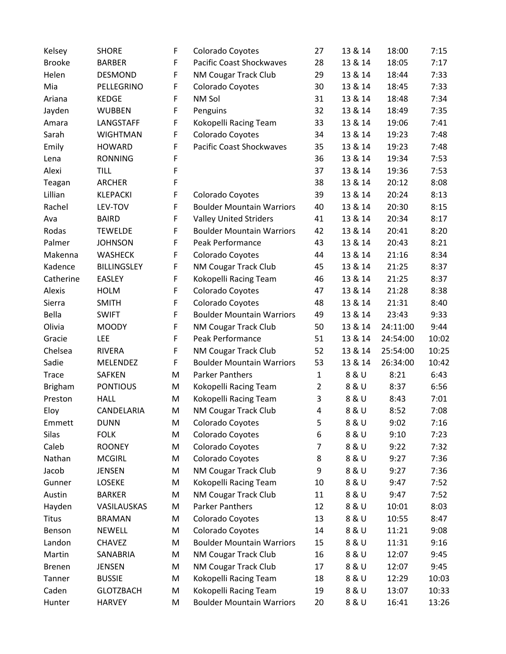| Kelsey         | <b>SHORE</b>       | F | Colorado Coyotes                 | 27             | 13 & 14 | 18:00    | 7:15  |
|----------------|--------------------|---|----------------------------------|----------------|---------|----------|-------|
| <b>Brooke</b>  | <b>BARBER</b>      | F | <b>Pacific Coast Shockwaves</b>  | 28             | 13 & 14 | 18:05    | 7:17  |
| Helen          | <b>DESMOND</b>     | F | NM Cougar Track Club             | 29             | 13 & 14 | 18:44    | 7:33  |
| Mia            | PELLEGRINO         | F | Colorado Coyotes                 | 30             | 13 & 14 | 18:45    | 7:33  |
| Ariana         | <b>KEDGE</b>       | F | NM Sol                           | 31             | 13 & 14 | 18:48    | 7:34  |
| Jayden         | <b>WUBBEN</b>      | F | Penguins                         | 32             | 13 & 14 | 18:49    | 7:35  |
| Amara          | LANGSTAFF          | F | Kokopelli Racing Team            | 33             | 13 & 14 | 19:06    | 7:41  |
| Sarah          | <b>WIGHTMAN</b>    | F | Colorado Coyotes                 | 34             | 13 & 14 | 19:23    | 7:48  |
| Emily          | <b>HOWARD</b>      | F | <b>Pacific Coast Shockwaves</b>  | 35             | 13 & 14 | 19:23    | 7:48  |
| Lena           | <b>RONNING</b>     | F |                                  | 36             | 13 & 14 | 19:34    | 7:53  |
| Alexi          | <b>TILL</b>        | F |                                  | 37             | 13 & 14 | 19:36    | 7:53  |
| Teagan         | <b>ARCHER</b>      | F |                                  | 38             | 13 & 14 | 20:12    | 8:08  |
| Lillian        | <b>KLEPACKI</b>    | F | Colorado Coyotes                 | 39             | 13 & 14 | 20:24    | 8:13  |
| Rachel         | LEV-TOV            | F | <b>Boulder Mountain Warriors</b> | 40             | 13 & 14 | 20:30    | 8:15  |
| Ava            | <b>BAIRD</b>       | F | <b>Valley United Striders</b>    | 41             | 13 & 14 | 20:34    | 8:17  |
| Rodas          | <b>TEWELDE</b>     | F | <b>Boulder Mountain Warriors</b> | 42             | 13 & 14 | 20:41    | 8:20  |
| Palmer         | <b>JOHNSON</b>     | F | Peak Performance                 | 43             | 13 & 14 | 20:43    | 8:21  |
| Makenna        | <b>WASHECK</b>     | F | Colorado Coyotes                 | 44             | 13 & 14 | 21:16    | 8:34  |
| Kadence        | <b>BILLINGSLEY</b> | F | NM Cougar Track Club             | 45             | 13 & 14 | 21:25    | 8:37  |
| Catherine      | <b>EASLEY</b>      | F | Kokopelli Racing Team            | 46             | 13 & 14 | 21:25    | 8:37  |
| Alexis         | <b>HOLM</b>        | F | Colorado Coyotes                 | 47             | 13 & 14 | 21:28    | 8:38  |
| Sierra         | <b>SMITH</b>       | F | Colorado Coyotes                 | 48             | 13 & 14 | 21:31    | 8:40  |
| Bella          | <b>SWIFT</b>       | F | <b>Boulder Mountain Warriors</b> | 49             | 13 & 14 | 23:43    | 9:33  |
| Olivia         | <b>MOODY</b>       | F | NM Cougar Track Club             | 50             | 13 & 14 | 24:11:00 | 9:44  |
| Gracie         | <b>LEE</b>         | F | Peak Performance                 | 51             | 13 & 14 | 24:54:00 | 10:02 |
| Chelsea        | <b>RIVERA</b>      | F | NM Cougar Track Club             | 52             | 13 & 14 | 25:54:00 | 10:25 |
| Sadie          | <b>MELENDEZ</b>    | F | <b>Boulder Mountain Warriors</b> | 53             | 13 & 14 | 26:34:00 | 10:42 |
| <b>Trace</b>   | <b>SAFKEN</b>      | M | <b>Parker Panthers</b>           | $\mathbf{1}$   | 8 & U   | 8:21     | 6:43  |
| <b>Brigham</b> | <b>PONTIOUS</b>    | M | Kokopelli Racing Team            | $\overline{2}$ | 8 & U   | 8:37     | 6:56  |
| Preston        | <b>HALL</b>        | M | Kokopelli Racing Team            | 3              | 8 & U   | 8:43     | 7:01  |
| Eloy           | CANDELARIA         | M | NM Cougar Track Club             | 4              | 8 & U   | 8:52     | 7:08  |
| Emmett         | <b>DUNN</b>        | M | Colorado Coyotes                 | 5              | 8 & U   | 9:02     | 7:16  |
| Silas          | <b>FOLK</b>        | M | Colorado Coyotes                 | 6              | 8 & U   | 9:10     | 7:23  |
| Caleb          | <b>ROONEY</b>      | M | Colorado Coyotes                 | 7              | 8 & U   | 9:22     | 7:32  |
| Nathan         | <b>MCGIRL</b>      | M | Colorado Coyotes                 | 8              | 8 & U   | 9:27     | 7:36  |
| Jacob          | <b>JENSEN</b>      | M | NM Cougar Track Club             | 9              | 8 & U   | 9:27     | 7:36  |
| Gunner         | LOSEKE             | M | Kokopelli Racing Team            | 10             | 8 & U   | 9:47     | 7:52  |
| Austin         | <b>BARKER</b>      | M | NM Cougar Track Club             | 11             | 8 & U   | 9:47     | 7:52  |
| Hayden         | VASILAUSKAS        | M | <b>Parker Panthers</b>           | 12             | 8 & U   | 10:01    | 8:03  |
| <b>Titus</b>   | <b>BRAMAN</b>      | M | Colorado Coyotes                 | 13             | 8 & U   | 10:55    | 8:47  |
| Benson         | <b>NEWELL</b>      | M | Colorado Coyotes                 | 14             | 8 & U   | 11:21    | 9:08  |
| Landon         | <b>CHAVEZ</b>      | M | <b>Boulder Mountain Warriors</b> | 15             | 8 & U   | 11:31    | 9:16  |
| Martin         | SANABRIA           | M | NM Cougar Track Club             | 16             | 8 & U   | 12:07    | 9:45  |
| <b>Brenen</b>  | <b>JENSEN</b>      | M | NM Cougar Track Club             | 17             | 8 & U   | 12:07    | 9:45  |
| Tanner         | <b>BUSSIE</b>      | M | Kokopelli Racing Team            | 18             | 8 & U   | 12:29    | 10:03 |
| Caden          | <b>GLOTZBACH</b>   | M | Kokopelli Racing Team            | 19             | 8 & U   | 13:07    | 10:33 |
| Hunter         | <b>HARVEY</b>      | M | <b>Boulder Mountain Warriors</b> | 20             | 8 & U   | 16:41    | 13:26 |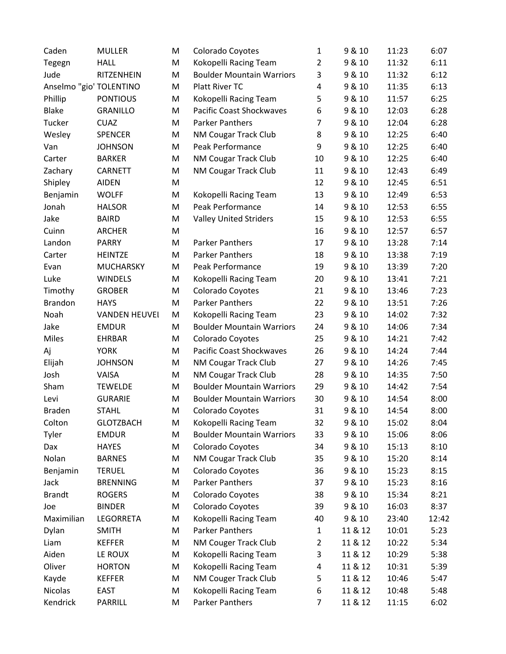| Caden                   | <b>MULLER</b>        | M | Colorado Coyotes                 | 1              | 9 & 10  | 11:23 | 6:07  |
|-------------------------|----------------------|---|----------------------------------|----------------|---------|-------|-------|
| Tegegn                  | <b>HALL</b>          | M | Kokopelli Racing Team            | $\overline{2}$ | 9 & 10  | 11:32 | 6:11  |
| Jude                    | RITZENHEIN           | M | <b>Boulder Mountain Warriors</b> | 3              | 9 & 10  | 11:32 | 6:12  |
| Anselmo "gio' TOLENTINO |                      | M | Platt River TC                   | 4              | 9 & 10  | 11:35 | 6:13  |
| Phillip                 | <b>PONTIOUS</b>      | M | Kokopelli Racing Team            | 5              | 9 & 10  | 11:57 | 6:25  |
| <b>Blake</b>            | <b>GRANILLO</b>      | M | <b>Pacific Coast Shockwaves</b>  | 6              | 9 & 10  | 12:03 | 6:28  |
| Tucker                  | <b>CUAZ</b>          | M | <b>Parker Panthers</b>           | $\overline{7}$ | 9 & 10  | 12:04 | 6:28  |
| Wesley                  | <b>SPENCER</b>       | M | NM Cougar Track Club             | 8              | 9 & 10  | 12:25 | 6:40  |
| Van                     | <b>JOHNSON</b>       | M | Peak Performance                 | 9              | 9 & 10  | 12:25 | 6:40  |
| Carter                  | <b>BARKER</b>        | M | NM Cougar Track Club             | 10             | 9 & 10  | 12:25 | 6:40  |
| Zachary                 | CARNETT              | M | NM Cougar Track Club             | 11             | 9 & 10  | 12:43 | 6:49  |
| Shipley                 | <b>AIDEN</b>         | M |                                  | 12             | 9 & 10  | 12:45 | 6:51  |
| Benjamin                | <b>WOLFF</b>         | M | Kokopelli Racing Team            | 13             | 9 & 10  | 12:49 | 6:53  |
| Jonah                   | <b>HALSOR</b>        | M | Peak Performance                 | 14             | 9 & 10  | 12:53 | 6:55  |
| Jake                    | <b>BAIRD</b>         | M | <b>Valley United Striders</b>    | 15             | 9 & 10  | 12:53 | 6:55  |
| Cuinn                   | <b>ARCHER</b>        | M |                                  | 16             | 9 & 10  | 12:57 | 6:57  |
| Landon                  | <b>PARRY</b>         | M | Parker Panthers                  | 17             | 9 & 10  | 13:28 | 7:14  |
| Carter                  | <b>HEINTZE</b>       | M | <b>Parker Panthers</b>           | 18             | 9 & 10  | 13:38 | 7:19  |
| Evan                    | <b>MUCHARSKY</b>     | M | Peak Performance                 | 19             | 9 & 10  | 13:39 | 7:20  |
| Luke                    | <b>WINDELS</b>       | M | Kokopelli Racing Team            | 20             | 9 & 10  | 13:41 | 7:21  |
| Timothy                 | <b>GROBER</b>        | M | Colorado Coyotes                 | 21             | 9 & 10  | 13:46 | 7:23  |
| <b>Brandon</b>          | <b>HAYS</b>          | M | <b>Parker Panthers</b>           | 22             | 9 & 10  | 13:51 | 7:26  |
| Noah                    | <b>VANDEN HEUVEI</b> | M | Kokopelli Racing Team            | 23             | 9 & 10  | 14:02 | 7:32  |
| Jake                    | <b>EMDUR</b>         | M | <b>Boulder Mountain Warriors</b> | 24             | 9 & 10  | 14:06 | 7:34  |
| Miles                   | <b>EHRBAR</b>        | M | Colorado Coyotes                 | 25             | 9 & 10  | 14:21 | 7:42  |
| Aj                      | <b>YORK</b>          | M | <b>Pacific Coast Shockwaves</b>  | 26             | 9 & 10  | 14:24 | 7:44  |
| Elijah                  | <b>JOHNSON</b>       | M | NM Cougar Track Club             | 27             | 9 & 10  | 14:26 | 7:45  |
| Josh                    | VAISA                | M | <b>NM Cougar Track Club</b>      | 28             | 9 & 10  | 14:35 | 7:50  |
| Sham                    | <b>TEWELDE</b>       | M | <b>Boulder Mountain Warriors</b> | 29             | 9 & 10  | 14:42 | 7:54  |
| Levi                    | <b>GURARIE</b>       | M | <b>Boulder Mountain Warriors</b> | 30             | 9 & 10  | 14:54 | 8:00  |
| <b>Braden</b>           | <b>STAHL</b>         | M | Colorado Coyotes                 | 31             | 9 & 10  | 14:54 | 8:00  |
| Colton                  | <b>GLOTZBACH</b>     | M | Kokopelli Racing Team            | 32             | 9 & 10  | 15:02 | 8:04  |
| Tyler                   | <b>EMDUR</b>         | M | <b>Boulder Mountain Warriors</b> | 33             | 9 & 10  | 15:06 | 8:06  |
| Dax                     | <b>HAYES</b>         | M | Colorado Coyotes                 | 34             | 9 & 10  | 15:13 | 8:10  |
| Nolan                   | <b>BARNES</b>        | M | NM Cougar Track Club             | 35             | 9 & 10  | 15:20 | 8:14  |
| Benjamin                | <b>TERUEL</b>        | M | Colorado Coyotes                 | 36             | 9 & 10  | 15:23 | 8:15  |
| Jack                    | <b>BRENNING</b>      | M | <b>Parker Panthers</b>           | 37             | 9 & 10  | 15:23 | 8:16  |
| <b>Brandt</b>           | <b>ROGERS</b>        | M | Colorado Coyotes                 | 38             | 9 & 10  | 15:34 | 8:21  |
| Joe                     | <b>BINDER</b>        | M | Colorado Coyotes                 | 39             | 9 & 10  | 16:03 | 8:37  |
| Maximilian              | LEGORRETA            | M | Kokopelli Racing Team            | 40             | 9 & 10  | 23:40 | 12:42 |
| Dylan                   | <b>SMITH</b>         | Μ | <b>Parker Panthers</b>           | $\mathbf{1}$   | 11 & 12 | 10:01 | 5:23  |
| Liam                    | <b>KEFFER</b>        | M | NM Couger Track Club             | $\overline{2}$ | 11 & 12 | 10:22 | 5:34  |
| Aiden                   | LE ROUX              | M | Kokopelli Racing Team            | 3              | 11 & 12 | 10:29 | 5:38  |
| Oliver                  | <b>HORTON</b>        | M | Kokopelli Racing Team            | 4              | 11 & 12 | 10:31 | 5:39  |
| Kayde                   | <b>KEFFER</b>        | M | NM Couger Track Club             | 5              | 11 & 12 | 10:46 | 5:47  |
| Nicolas                 | <b>EAST</b>          | M | Kokopelli Racing Team            | 6              | 11 & 12 | 10:48 | 5:48  |
| Kendrick                | PARRILL              | M | Parker Panthers                  | 7              | 11 & 12 | 11:15 | 6:02  |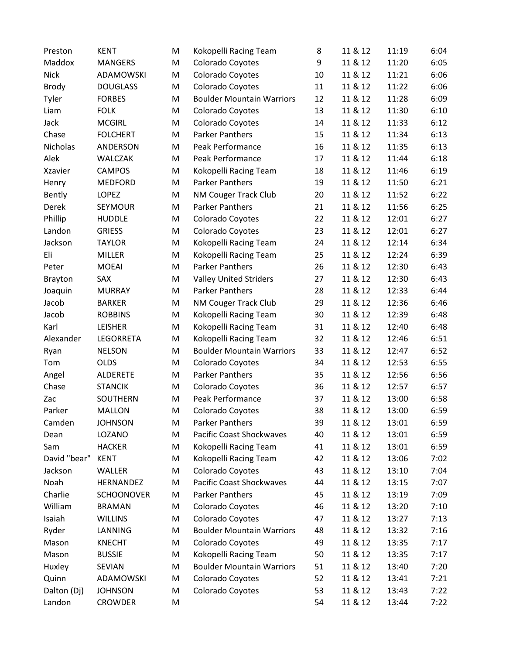| Preston        | <b>KENT</b>       | M | Kokopelli Racing Team            | 8  | 11 & 12 | 11:19 | 6:04 |
|----------------|-------------------|---|----------------------------------|----|---------|-------|------|
| Maddox         | <b>MANGERS</b>    | M | Colorado Coyotes                 | 9  | 11 & 12 | 11:20 | 6:05 |
| <b>Nick</b>    | ADAMOWSKI         | M | Colorado Coyotes                 | 10 | 11 & 12 | 11:21 | 6:06 |
| <b>Brody</b>   | <b>DOUGLASS</b>   | M | Colorado Coyotes                 | 11 | 11 & 12 | 11:22 | 6:06 |
| Tyler          | <b>FORBES</b>     | M | <b>Boulder Mountain Warriors</b> | 12 | 11 & 12 | 11:28 | 6:09 |
| Liam           | <b>FOLK</b>       | M | Colorado Coyotes                 | 13 | 11 & 12 | 11:30 | 6:10 |
| Jack           | <b>MCGIRL</b>     | M | Colorado Coyotes                 | 14 | 11 & 12 | 11:33 | 6:12 |
| Chase          | <b>FOLCHERT</b>   | M | <b>Parker Panthers</b>           | 15 | 11 & 12 | 11:34 | 6:13 |
| Nicholas       | ANDERSON          | M | Peak Performance                 | 16 | 11 & 12 | 11:35 | 6:13 |
| Alek           | <b>WALCZAK</b>    | M | Peak Performance                 | 17 | 11 & 12 | 11:44 | 6:18 |
| <b>Xzavier</b> | <b>CAMPOS</b>     | M | Kokopelli Racing Team            | 18 | 11 & 12 | 11:46 | 6:19 |
| Henry          | <b>MEDFORD</b>    | M | <b>Parker Panthers</b>           | 19 | 11 & 12 | 11:50 | 6:21 |
| Bently         | LOPEZ             | M | NM Couger Track Club             | 20 | 11 & 12 | 11:52 | 6:22 |
| Derek          | SEYMOUR           | M | <b>Parker Panthers</b>           | 21 | 11 & 12 | 11:56 | 6:25 |
| Phillip        | <b>HUDDLE</b>     | M | Colorado Coyotes                 | 22 | 11 & 12 | 12:01 | 6:27 |
| Landon         | <b>GRIESS</b>     | M | Colorado Coyotes                 | 23 | 11 & 12 | 12:01 | 6:27 |
| Jackson        | <b>TAYLOR</b>     | M | Kokopelli Racing Team            | 24 | 11 & 12 | 12:14 | 6:34 |
| Eli            | <b>MILLER</b>     | M | Kokopelli Racing Team            | 25 | 11 & 12 | 12:24 | 6:39 |
| Peter          | <b>MOEAI</b>      | M | <b>Parker Panthers</b>           | 26 | 11 & 12 | 12:30 | 6:43 |
| <b>Brayton</b> | SAX               | M | <b>Valley United Striders</b>    | 27 | 11 & 12 | 12:30 | 6:43 |
| Joaquin        | <b>MURRAY</b>     | M | <b>Parker Panthers</b>           | 28 | 11 & 12 | 12:33 | 6:44 |
| Jacob          | <b>BARKER</b>     | M | NM Couger Track Club             | 29 | 11 & 12 | 12:36 | 6:46 |
| Jacob          | <b>ROBBINS</b>    | M | Kokopelli Racing Team            | 30 | 11 & 12 | 12:39 | 6:48 |
| Karl           | <b>LEISHER</b>    | M | Kokopelli Racing Team            | 31 | 11 & 12 | 12:40 | 6:48 |
| Alexander      | LEGORRETA         | M | Kokopelli Racing Team            | 32 | 11 & 12 | 12:46 | 6:51 |
| Ryan           | <b>NELSON</b>     | M | <b>Boulder Mountain Warriors</b> | 33 | 11 & 12 | 12:47 | 6:52 |
| Tom            | <b>OLDS</b>       | M | Colorado Coyotes                 | 34 | 11 & 12 | 12:53 | 6:55 |
| Angel          | <b>ALDERETE</b>   | M | <b>Parker Panthers</b>           | 35 | 11 & 12 | 12:56 | 6:56 |
| Chase          | <b>STANCIK</b>    | M | Colorado Coyotes                 | 36 | 11 & 12 | 12:57 | 6:57 |
| Zac            | SOUTHERN          | M | Peak Performance                 | 37 | 11 & 12 | 13:00 | 6:58 |
| Parker         | <b>MALLON</b>     | M | Colorado Coyotes                 | 38 | 11 & 12 | 13:00 | 6:59 |
| Camden         | <b>JOHNSON</b>    | Μ | Parker Panthers                  | 39 | 11 & 12 | 13:01 | 6:59 |
| Dean           | LOZANO            | M | <b>Pacific Coast Shockwaves</b>  | 40 | 11 & 12 | 13:01 | 6:59 |
| Sam            | <b>HACKER</b>     | M | Kokopelli Racing Team            | 41 | 11 & 12 | 13:01 | 6:59 |
| David "bear"   | <b>KENT</b>       | M | Kokopelli Racing Team            | 42 | 11 & 12 | 13:06 | 7:02 |
| Jackson        | WALLER            | M | Colorado Coyotes                 | 43 | 11 & 12 | 13:10 | 7:04 |
| Noah           | HERNANDEZ         | M | <b>Pacific Coast Shockwaves</b>  | 44 | 11 & 12 | 13:15 | 7:07 |
| Charlie        | <b>SCHOONOVER</b> | M | <b>Parker Panthers</b>           | 45 | 11 & 12 | 13:19 | 7:09 |
| William        | <b>BRAMAN</b>     | M | Colorado Coyotes                 | 46 | 11 & 12 | 13:20 | 7:10 |
| Isaiah         | <b>WILLINS</b>    | M | Colorado Coyotes                 | 47 | 11 & 12 | 13:27 | 7:13 |
| Ryder          | LANNING           | M | <b>Boulder Mountain Warriors</b> | 48 | 11 & 12 | 13:32 | 7:16 |
| Mason          | <b>KNECHT</b>     | M | Colorado Coyotes                 | 49 | 11 & 12 | 13:35 | 7:17 |
| Mason          | <b>BUSSIE</b>     | M | Kokopelli Racing Team            | 50 | 11 & 12 | 13:35 | 7:17 |
| Huxley         | SEVIAN            | M | <b>Boulder Mountain Warriors</b> | 51 | 11 & 12 | 13:40 | 7:20 |
| Quinn          | ADAMOWSKI         | M | Colorado Coyotes                 | 52 | 11 & 12 | 13:41 | 7:21 |
| Dalton (Dj)    | <b>JOHNSON</b>    | M | Colorado Coyotes                 | 53 | 11 & 12 | 13:43 | 7:22 |
| Landon         | CROWDER           | M |                                  | 54 | 11 & 12 | 13:44 | 7:22 |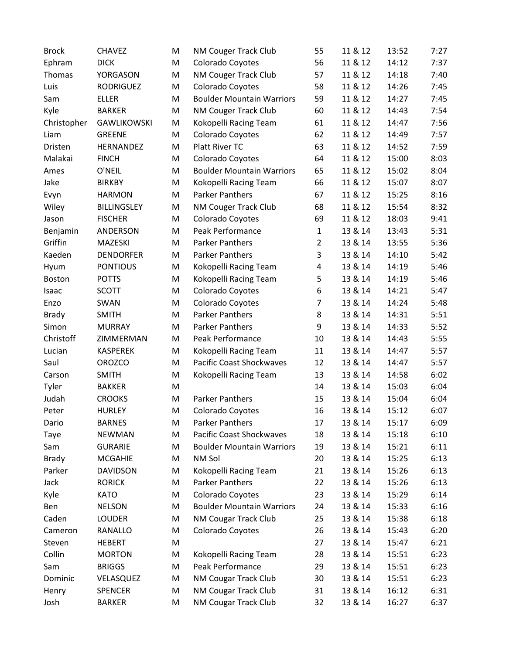| <b>Brock</b>  | <b>CHAVEZ</b>      | M | NM Couger Track Club             | 55             | 11 & 12 | 13:52 | 7:27 |
|---------------|--------------------|---|----------------------------------|----------------|---------|-------|------|
| Ephram        | <b>DICK</b>        | M | Colorado Coyotes                 | 56             | 11 & 12 | 14:12 | 7:37 |
| Thomas        | YORGASON           | M | NM Couger Track Club             | 57             | 11 & 12 | 14:18 | 7:40 |
| Luis          | <b>RODRIGUEZ</b>   | M | Colorado Coyotes                 | 58             | 11 & 12 | 14:26 | 7:45 |
| Sam           | <b>ELLER</b>       | M | <b>Boulder Mountain Warriors</b> | 59             | 11 & 12 | 14:27 | 7:45 |
| Kyle          | <b>BARKER</b>      | M | NM Couger Track Club             | 60             | 11 & 12 | 14:43 | 7:54 |
| Christopher   | <b>GAWLIKOWSKI</b> | M | Kokopelli Racing Team            | 61             | 11 & 12 | 14:47 | 7:56 |
| Liam          | <b>GREENE</b>      | M | Colorado Coyotes                 | 62             | 11 & 12 | 14:49 | 7:57 |
| Dristen       | HERNANDEZ          | M | Platt River TC                   | 63             | 11 & 12 | 14:52 | 7:59 |
| Malakai       | <b>FINCH</b>       | M | Colorado Coyotes                 | 64             | 11 & 12 | 15:00 | 8:03 |
| Ames          | O'NEIL             | M | <b>Boulder Mountain Warriors</b> | 65             | 11 & 12 | 15:02 | 8:04 |
| Jake          | <b>BIRKBY</b>      | M | Kokopelli Racing Team            | 66             | 11 & 12 | 15:07 | 8:07 |
| Evyn          | <b>HARMON</b>      | M | <b>Parker Panthers</b>           | 67             | 11 & 12 | 15:25 | 8:16 |
| Wiley         | <b>BILLINGSLEY</b> | M | NM Couger Track Club             | 68             | 11 & 12 | 15:54 | 8:32 |
| Jason         | <b>FISCHER</b>     | M | Colorado Coyotes                 | 69             | 11 & 12 | 18:03 | 9:41 |
| Benjamin      | ANDERSON           | M | Peak Performance                 | $\mathbf{1}$   | 13 & 14 | 13:43 | 5:31 |
| Griffin       | MAZESKI            | M | <b>Parker Panthers</b>           | $\overline{2}$ | 13 & 14 | 13:55 | 5:36 |
| Kaeden        | <b>DENDORFER</b>   | M | Parker Panthers                  | 3              | 13 & 14 | 14:10 | 5:42 |
| Hyum          | <b>PONTIOUS</b>    | M | Kokopelli Racing Team            | 4              | 13 & 14 | 14:19 | 5:46 |
| <b>Boston</b> | <b>POTTS</b>       | M | Kokopelli Racing Team            | 5              | 13 & 14 | 14:19 | 5:46 |
| Isaac         | <b>SCOTT</b>       | M | Colorado Coyotes                 | 6              | 13 & 14 | 14:21 | 5:47 |
| Enzo          | SWAN               | M | Colorado Coyotes                 | $\overline{7}$ | 13 & 14 | 14:24 | 5:48 |
| <b>Brady</b>  | <b>SMITH</b>       | M | <b>Parker Panthers</b>           | 8              | 13 & 14 | 14:31 | 5:51 |
| Simon         | <b>MURRAY</b>      | M | <b>Parker Panthers</b>           | 9              | 13 & 14 | 14:33 | 5:52 |
| Christoff     | ZIMMERMAN          | M | Peak Performance                 | 10             | 13 & 14 | 14:43 | 5:55 |
| Lucian        | <b>KASPEREK</b>    | M | Kokopelli Racing Team            | 11             | 13 & 14 | 14:47 | 5:57 |
| Saul          | <b>OROZCO</b>      | M | <b>Pacific Coast Shockwaves</b>  | 12             | 13 & 14 | 14:47 | 5:57 |
| Carson        | <b>SMITH</b>       | M | Kokopelli Racing Team            | 13             | 13 & 14 | 14:58 | 6:02 |
| Tyler         | <b>BAKKER</b>      | M |                                  | 14             | 13 & 14 | 15:03 | 6:04 |
| Judah         | <b>CROOKS</b>      | M | <b>Parker Panthers</b>           | 15             | 13 & 14 | 15:04 | 6:04 |
| Peter         | <b>HURLEY</b>      | M | Colorado Coyotes                 | 16             | 13 & 14 | 15:12 | 6:07 |
| Dario         | <b>BARNES</b>      | M | Parker Panthers                  | 17             | 13 & 14 | 15:17 | 6:09 |
| Taye          | <b>NEWMAN</b>      | M | <b>Pacific Coast Shockwaves</b>  | 18             | 13 & 14 | 15:18 | 6:10 |
| Sam           | <b>GURARIE</b>     | M | <b>Boulder Mountain Warriors</b> | 19             | 13 & 14 | 15:21 | 6:11 |
| <b>Brady</b>  | <b>MCGAHIE</b>     | M | NM Sol                           | 20             | 13 & 14 | 15:25 | 6:13 |
| Parker        | <b>DAVIDSON</b>    | M | Kokopelli Racing Team            | 21             | 13 & 14 | 15:26 | 6:13 |
| Jack          | <b>RORICK</b>      | M | Parker Panthers                  | 22             | 13 & 14 | 15:26 | 6:13 |
| Kyle          | <b>KATO</b>        | M | Colorado Coyotes                 | 23             | 13 & 14 | 15:29 | 6:14 |
| Ben           | <b>NELSON</b>      | M | <b>Boulder Mountain Warriors</b> | 24             | 13 & 14 | 15:33 | 6:16 |
| Caden         | <b>LOUDER</b>      | M | NM Cougar Track Club             | 25             | 13 & 14 | 15:38 | 6:18 |
| Cameron       | RANALLO            | M | Colorado Coyotes                 | 26             | 13 & 14 | 15:43 | 6:20 |
| Steven        | <b>HEBERT</b>      | M |                                  | 27             | 13 & 14 | 15:47 | 6:21 |
| Collin        | <b>MORTON</b>      | М | Kokopelli Racing Team            | 28             | 13 & 14 | 15:51 | 6:23 |
| Sam           | <b>BRIGGS</b>      | M | Peak Performance                 | 29             | 13 & 14 | 15:51 | 6:23 |
| Dominic       | VELASQUEZ          | M | NM Cougar Track Club             | 30             | 13 & 14 | 15:51 | 6:23 |
| Henry         | <b>SPENCER</b>     | M | NM Cougar Track Club             | 31             | 13 & 14 | 16:12 | 6:31 |
| Josh          | <b>BARKER</b>      | M | NM Cougar Track Club             | 32             | 13 & 14 | 16:27 | 6:37 |
|               |                    |   |                                  |                |         |       |      |